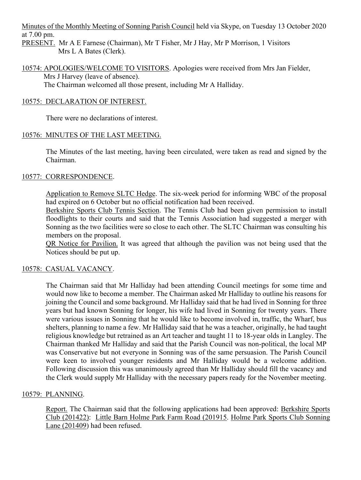Minutes of the Monthly Meeting of Sonning Parish Council held via Skype, on Tuesday 13 October 2020 at 7.00 pm.

PRESENT. Mr A E Farnese (Chairman), Mr T Fisher, Mr J Hay, Mr P Morrison, 1 Visitors Mrs L A Bates (Clerk).

#### 10574: APOLOGIES/WELCOME TO VISITORS. Apologies were received from Mrs Jan Fielder, Mrs J Harvey (leave of absence). The Chairman welcomed all those present, including Mr A Halliday.

# 10575: DECLARATION OF INTEREST.

There were no declarations of interest.

## 10576: MINUTES OF THE LAST MEETING.

The Minutes of the last meeting, having been circulated, were taken as read and signed by the Chairman.

## 10577: CORRESPONDENCE.

Application to Remove SLTC Hedge. The six-week period for informing WBC of the proposal had expired on 6 October but no official notification had been received.

Berkshire Sports Club Tennis Section. The Tennis Club had been given permission to install floodlights to their courts and said that the Tennis Association had suggested a merger with Sonning as the two facilities were so close to each other. The SLTC Chairman was consulting his members on the proposal.

QR Notice for Pavilion. It was agreed that although the pavilion was not being used that the Notices should be put up.

#### 10578: CASUAL VACANCY.

The Chairman said that Mr Halliday had been attending Council meetings for some time and would now like to become a member. The Chairman asked Mr Halliday to outline his reasons for joining the Council and some background. Mr Halliday said that he had lived in Sonning for three years but had known Sonning for longer, his wife had lived in Sonning for twenty years. There were various issues in Sonning that he would like to become involved in, traffic, the Wharf, bus shelters, planning to name a few. Mr Halliday said that he was a teacher, originally, he had taught religious knowledge but retrained as an Art teacher and taught 11 to 18-year olds in Langley. The Chairman thanked Mr Halliday and said that the Parish Council was non-political, the local MP was Conservative but not everyone in Sonning was of the same persuasion. The Parish Council were keen to involved younger residents and Mr Halliday would be a welcome addition. Following discussion this was unanimously agreed than Mr Halliday should fill the vacancy and the Clerk would supply Mr Halliday with the necessary papers ready for the November meeting.

#### 10579: PLANNING.

Report. The Chairman said that the following applications had been approved: Berkshire Sports Club (201422): Little Barn Holme Park Farm Road (201915. Holme Park Sports Club Sonning Lane (201409) had been refused.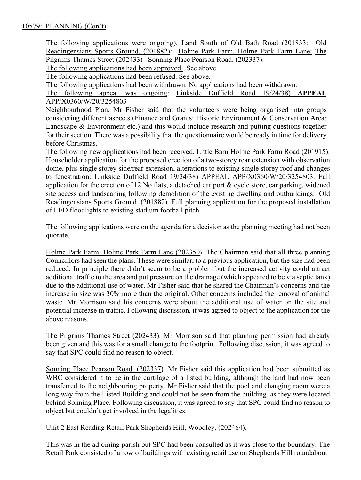The following applications were ongoing). Land South of Old Bath Road (201833: Old Readingensians Sports Ground. (201882): Holme Park Farm, Holme Park Farm Lane: The Pilgrims Thames Street (202433) Sonning Place Pearson Road. (202337).

The following applications had been approved. See above

The following applications had been refused. See above.

The following applications had been withdrawn. No applications had been withdrawn.

The following appeal was ongoing: Linkside Duffield Road 19/24/38) **APPEAL** APP/X0360/W/20/3254803

Neighbourhood Plan. Mr Fisher said that the volunteers were being organised into groups considering different aspects (Finance and Grants: Historic Environment & Conservation Area: Landscape & Environment etc.) and this would include research and putting questions together for their section. There was a possibility that the questionnaire would be ready in time for delivery before Christmas.

The following new applications had been received. Little Barn Holme Park Farm Road (201915). Householder application for the proposed erection of a two-storey rear extension with observation dome, plus single storey side/rear extension, alterations to existing single storey roof and changes to fenestration: Linkside Duffield Road 19/24/38) APPEAL APP/X0360/W/20/3254803. Full application for the erection of 12 No flats, a detached car port & cycle store, car parking, widened site access and landscaping following demolition of the existing dwelling and outbuildings: Old Readingensians Sports Ground. (201882). Full planning application for the proposed installation of LED floodlights to existing stadium football pitch.

The following applications were on the agenda for a decision as the planning meeting had not been quorate.

Holme Park Farm, Holme Park Farm Lane (202350). The Chairman said that all three planning Councillors had seen the plans. These were similar, to a previous application, but the size had been reduced. In principle there didn't seem to be a problem but the increased activity could attract additional traffic to the area and put pressure on the drainage (which appeared to be via septic tank) due to the additional use of water. Mr Fisher said that he shared the Chairman's concerns and the increase in size was 30% more than the original. Other concerns included the removal of animal waste. Mr Morrison said his concerns were about the additional use of water on the site and potential increase in traffic. Following discussion, it was agreed to object to the application for the above reasons.

The Pilgrims Thames Street (202433). Mr Morrison said that planning permission had already been given and this was for a small change to the footprint. Following discussion, it was agreed to say that SPC could find no reason to object.

Sonning Place Pearson Road. (202337). Mr Fisher said this application had been submitted as WBC considered it to be in the curtilage of a listed building, although the land had now been transferred to the neighbouring property. Mr Fisher said that the pool and changing room were a long way from the Listed Building and could not be seen from the building, as they were located behind Sonning Place. Following discussion, it was agreed to say that SPC could find no reason to object but couldn't get involved in the legalities.

#### Unit 2 East Reading Retail Park Shepherds Hill, Woodley. (202464).

This was in the adjoining parish but SPC had been consulted as it was close to the boundary. The Retail Park consisted of a row of buildings with existing retail use on Shepherds Hill roundabout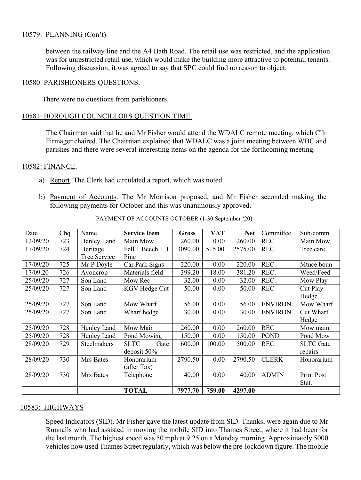#### 10579: PLANNING (Con't).

between the railway line and the A4 Bath Road. The retail use was restricted, and the application was for unrestricted retail use, which would make the building more attractive to potential tenants. Following discussion, it was agreed to say that SPC could find no reason to object.

#### 10580: PARISHIONERS QUESTIONS.

There were no questions from parishioners.

#### 10581: BOROUGH COUNCILLORS QUESTION TIME.

The Chairman said that he and Mr Fisher would attend the WDALC remote meeting, which Cllr Firmager chaired. The Chairman explained that WDALC was a joint meeting between WBC and parishes and there were several interesting items on the agenda for the forthcoming meeting.

#### 10582: FINANCE.

- a) Report. The Clerk had circulated a report, which was noted.
- b) Payment of Accounts. The Mr Morrison proposed, and Mr Fisher seconded making the following payments for October and this was unanimously approved.

| Date     | Chq | Name               | <b>Service Item</b> | <b>Gross</b> | <b>VAT</b> | <b>Net</b> | Committee      | Sub-comm          |
|----------|-----|--------------------|---------------------|--------------|------------|------------|----------------|-------------------|
| 12/09/20 | 723 | Henley Land        | Main Mow            | 260.00       | 0.00       | 260.00     | <b>REC</b>     | Main Mow          |
| 17/09/20 | 724 | Heritage           | Fell 1 Beech $+1$   | 3090.00      | 515.00     | 2575.00    | <b>REC</b>     | Tree care         |
|          |     | Tree Service       | Pine                |              |            |            |                |                   |
| 17/09/20 | 725 | Mr P Doyle         | Car Park Signs      | 220.00       | 0.00       | 220.00     | <b>REC</b>     | Mtnce boun        |
| 17/09.20 | 726 | Avoncrop           | Materials field     | 399.20       | 18.00      | 381.20     | REC.           | Weed/Feed         |
| 25/09/20 | 727 | Son Land           | Mow Rec             | 32.00        | 0.00       | 32.00      | <b>REC</b>     | Mow Play          |
| 25/09/20 | 727 | Son Land           | KGV Hedge Cut       | 50.00        | 0.00       | 50.00      | <b>REC</b>     | Cut Play          |
|          |     |                    |                     |              |            |            |                | Hedge             |
| 25/09/20 | 727 | Son Land           | Mow Wharf           | 56.00        | 0.00       | 56.00      | <b>ENVIRON</b> | Mow Wharf         |
| 25/09/20 | 727 | Son Land           | Wharf hedge         | 30.00        | 0.00       | 30.00      | <b>ENVIRON</b> | Cut Wharf         |
|          |     |                    |                     |              |            |            |                | Hedge             |
| 25/09/20 | 728 | Henley Land        | Mow Main            | 260.00       | 0.00       | 260.00     | <b>REC</b>     | Mow main          |
| 25/09/20 | 728 | Henley Land        | Pond Mowing         | 150.00       | 0.00       | 150.00     | <b>POND</b>    | Pond Mow          |
| 28/09/20 | 729 | <b>Steelmakers</b> | <b>SLTC</b><br>Gate | 600.00       | 100.00     | 500.00     | <b>REC</b>     | <b>SLTC</b> Gate  |
|          |     |                    | deposit 50%         |              |            |            |                | repairs           |
| 28/09/20 | 730 | Mrs Bates          | Honorarium          | 2790.50      | 0.00       | 2790.50    | <b>CLERK</b>   | Honorarium        |
|          |     |                    | (after Tax)         |              |            |            |                |                   |
| 28/09/20 | 730 | Mrs Bates          | Telephone           | 40.00        | 0.00       | 40.00      | <b>ADMIN</b>   | <b>Print Post</b> |
|          |     |                    |                     |              |            |            |                | Stat.             |
|          |     |                    | <b>TOTAL</b>        | 7977.70      | 759.00     | 4297.00    |                |                   |

PAYMENT OF ACCOUNTS OCTOBER (1-30 September '20)

#### 10583: HIGHWAYS

Speed Indicators (SID). Mr Fisher gave the latest update from SID. Thanks, were again due to Mr Runnalls who had assisted in moving the mobile SID into Thames Street, where it had been for the last month. The highest speed was 50 mph at 9.25 on a Monday morning. Approximately 5000 vehicles now used Thames Street regularly, which was below the pre-lockdown figure. The mobile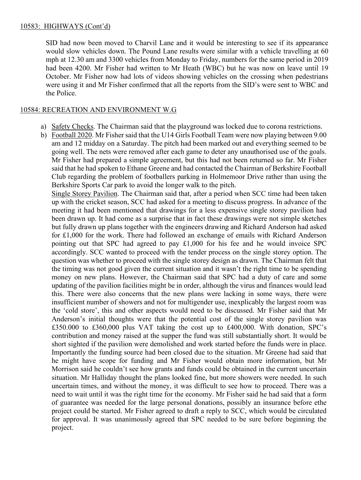SID had now been moved to Charvil Lane and it would be interesting to see if its appearance would slow vehicles down. The Pound Lane results were similar with a vehicle travelling at 60 mph at 12.30 am and 3300 vehicles from Monday to Friday, numbers for the same period in 2019 had been 4200. Mr Fisher had written to Mr Heath (WBC) but he was now on leave until 19 October. Mr Fisher now had lots of videos showing vehicles on the crossing when pedestrians were using it and Mr Fisher confirmed that all the reports from the SID's were sent to WBC and the Police.

# 10584: RECREATION AND ENVIRONMENT W.G

- a) Safety Checks. The Chairman said that the playground was locked due to corona restrictions.
- b) Football 2020. Mr Fisher said that the U14 Girls Football Team were now playing between 9.00 am and 12 midday on a Saturday. The pitch had been marked out and everything seemed to be going well. The nets were removed after each game to deter any unauthorised use of the goals. Mr Fisher had prepared a simple agreement, but this had not been returned so far. Mr Fisher said that he had spoken to Ethane Greene and had contacted the Chairman of Berkshire Football Club regarding the problem of footballers parking in Holmemoor Drive rather than using the Berkshire Sports Car park to avoid the longer walk to the pitch.

Single Storey Pavilion. The Chairman said that, after a period when SCC time had been taken up with the cricket season, SCC had asked for a meeting to discuss progress. In advance of the meeting it had been mentioned that drawings for a less expensive single storey pavilion had been drawn up. It had come as a surprise that in fact these drawings were not simple sketches but fully drawn up plans together with the engineers drawing and Richard Anderson had asked for £1,000 for the work. There had followed an exchange of emails with Richard Anderson pointing out that SPC had agreed to pay £1,000 for his fee and he would invoice SPC accordingly. SCC wanted to proceed with the tender process on the single storey option. The question was whether to proceed with the single storey design as drawn. The Chairman felt that the timing was not good given the current situation and it wasn't the right time to be spending money on new plans. However, the Chairman said that SPC had a duty of care and some updating of the pavilion facilities might be in order, although the virus and finances would lead this. There were also concerns that the new plans were lacking in some ways, there were insufficient number of showers and not for multigender use, inexplicably the largest room was the 'cold store', this and other aspects would need to be discussed. Mr Fisher said that Mr Anderson's initial thoughts were that the potential cost of the single storey pavilion was £350.000 to £360,000 plus VAT taking the cost up to £400,000. With donation, SPC's contribution and money raised at the supper the fund was still substantially short. It would be short sighted if the pavilion were demolished and work started before the funds were in place. Importantly the funding source had been closed due to the situation. Mr Greene had said that he might have scope for funding and Mr Fisher would obtain more information, but Mr Morrison said he couldn't see how grants and funds could be obtained in the current uncertain situation. Mr Halliday thought the plans looked fine, but more showers were needed. In such uncertain times, and without the money, it was difficult to see how to proceed. There was a need to wait until it was the right time for the economy. Mr Fisher said he had said that a form of guarantee was needed for the large personal donations, possibly an insurance before ethe project could be started. Mr Fisher agreed to draft a reply to SCC, which would be circulated for approval. It was unanimously agreed that SPC needed to be sure before beginning the project.